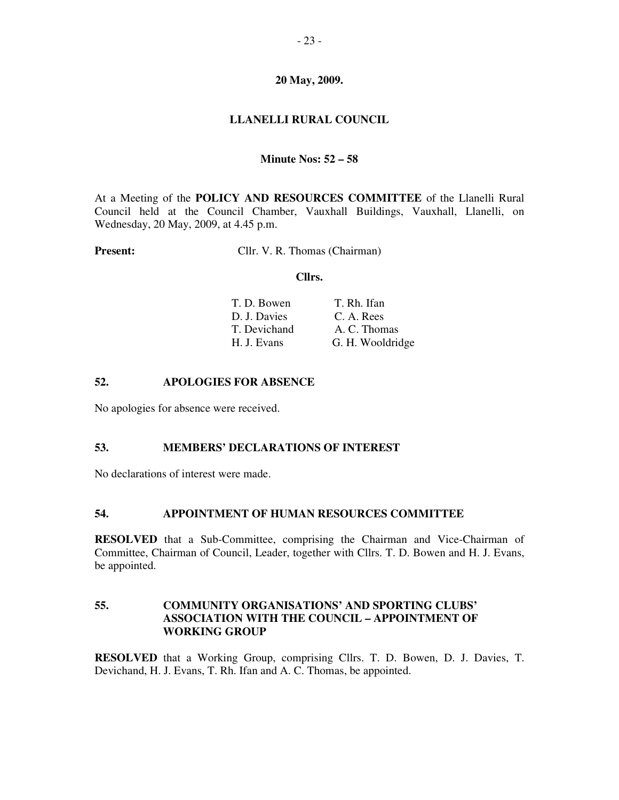## **20 May, 2009.**

# **LLANELLI RURAL COUNCIL**

#### **Minute Nos: 52 – 58**

At a Meeting of the **POLICY AND RESOURCES COMMITTEE** of the Llanelli Rural Council held at the Council Chamber, Vauxhall Buildings, Vauxhall, Llanelli, on Wednesday, 20 May, 2009, at 4.45 p.m.

**Present:** Cllr. V. R. Thomas (Chairman)

#### **Cllrs.**

| T. D. Bowen  | T. Rh. Ifan      |
|--------------|------------------|
| D. J. Davies | C. A. Rees       |
| T. Devichand | A. C. Thomas     |
| H. J. Evans  | G. H. Wooldridge |

#### **52. APOLOGIES FOR ABSENCE**

No apologies for absence were received.

#### **53. MEMBERS' DECLARATIONS OF INTEREST**

No declarations of interest were made.

# **54. APPOINTMENT OF HUMAN RESOURCES COMMITTEE**

**RESOLVED** that a Sub-Committee, comprising the Chairman and Vice-Chairman of Committee, Chairman of Council, Leader, together with Cllrs. T. D. Bowen and H. J. Evans, be appointed.

### **55. COMMUNITY ORGANISATIONS' AND SPORTING CLUBS' ASSOCIATION WITH THE COUNCIL – APPOINTMENT OF WORKING GROUP**

**RESOLVED** that a Working Group, comprising Cllrs. T. D. Bowen, D. J. Davies, T. Devichand, H. J. Evans, T. Rh. Ifan and A. C. Thomas, be appointed.